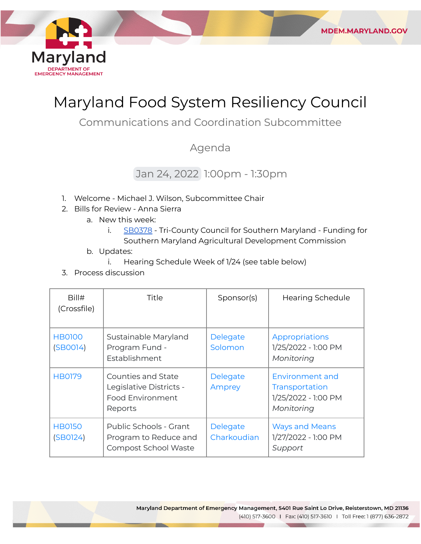

# Maryland Food System Resiliency Council

Communications and Coordination Subcommittee

# Agenda

# Jan 24, 2022 1:00pm - 1:30pm

- 1. Welcome Michael J. Wilson, Subcommittee Chair
- 2. Bills for Review Anna Sierra
	- a. New this week:
		- i. [SB0378](https://mgaleg.maryland.gov/mgawebsite/Legislation/Details/sb0378?ys=2022RS) Tri-County Council for Southern Maryland Funding for Southern Maryland Agricultural Development Commission

**MDEM.MARYLAND.GOV** 

- b. Updates:
	- i. Hearing Schedule Week of 1/24 (see table below)
- 3. Process discussion

| Bill#<br>(Crossfile)      | Title                                                                               | Sponsor(s)              | <b>Hearing Schedule</b>                                                       |
|---------------------------|-------------------------------------------------------------------------------------|-------------------------|-------------------------------------------------------------------------------|
| <b>HB0100</b><br>(SBOO14) | Sustainable Maryland<br>Program Fund -<br>Establishment                             | Delegate<br>Solomon     | Appropriations<br>1/25/2022 - 1:00 PM<br>Monitoring                           |
| <b>HB0179</b>             | Counties and State<br>Legislative Districts -<br><b>Food Environment</b><br>Reports | Delegate<br>Amprey      | <b>Environment and</b><br>Transportation<br>1/25/2022 - 1:00 PM<br>Monitoring |
| <b>HB0150</b><br>(SB0124) | Public Schools - Grant<br>Program to Reduce and<br>Compost School Waste             | Delegate<br>Charkoudian | <b>Ways and Means</b><br>1/27/2022 - 1:00 PM<br>Support                       |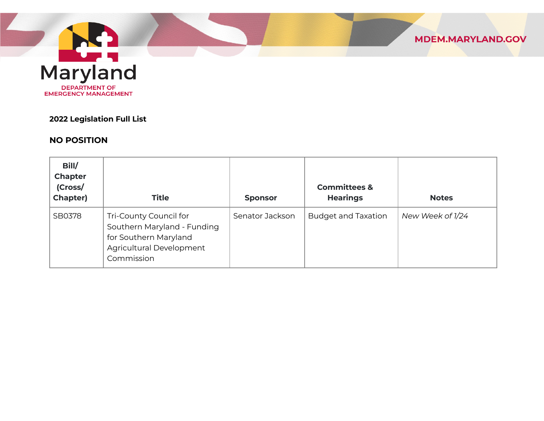

Maryland **DEPARTMENT OF EMERGENCY MANAGEMENT** 

#### **2022 Legislation Full List**

## **NO POSITION**

| Bill/<br><b>Chapter</b><br>(Cross/<br><b>Chapter)</b> | <b>Title</b>                                                                                                             | <b>Sponsor</b>  | <b>Committees &amp;</b><br><b>Hearings</b> | <b>Notes</b>     |
|-------------------------------------------------------|--------------------------------------------------------------------------------------------------------------------------|-----------------|--------------------------------------------|------------------|
| SB0378                                                | Tri-County Council for<br>Southern Maryland - Funding<br>for Southern Maryland<br>Agricultural Development<br>Commission | Senator Jackson | <b>Budget and Taxation</b>                 | New Week of 1/24 |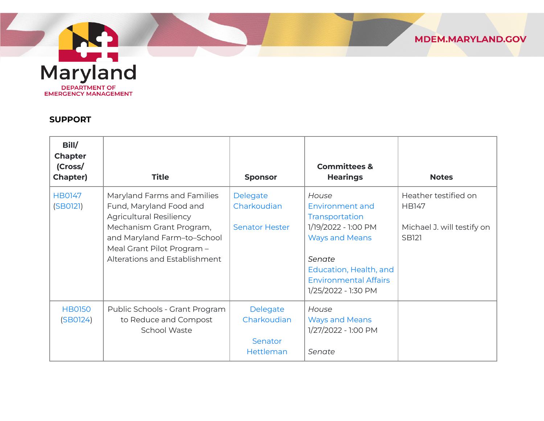Maryland **DEPARTMENT OF** EMERGENCY MANAGEMENT

#### **SUPPORT**

| Maryland Farms and Families                                                                                                                                                         |                                                  |                                                                                                                                       | <b>Notes</b>                                                                       |
|-------------------------------------------------------------------------------------------------------------------------------------------------------------------------------------|--------------------------------------------------|---------------------------------------------------------------------------------------------------------------------------------------|------------------------------------------------------------------------------------|
| Fund, Maryland Food and<br><b>Agricultural Resiliency</b><br>Mechanism Grant Program,<br>and Maryland Farm-to-School<br>Meal Grant Pilot Program -<br>Alterations and Establishment | Delegate<br>Charkoudian<br><b>Senator Hester</b> | House<br><b>Environment and</b><br>Transportation<br>1/19/2022 - 1:00 PM<br><b>Ways and Means</b><br>Senate<br>Education, Health, and | Heather testified on<br><b>HB147</b><br>Michael J. will testify on<br><b>SB121</b> |
|                                                                                                                                                                                     |                                                  | <b>Environmental Affairs</b><br>1/25/2022 - 1:30 PM                                                                                   |                                                                                    |
| Public Schools - Grant Program<br>to Reduce and Compost<br><b>School Waste</b>                                                                                                      | Delegate<br>Charkoudian<br>Senator               | House<br><b>Ways and Means</b><br>1/27/2022 - 1:00 PM                                                                                 |                                                                                    |
|                                                                                                                                                                                     |                                                  | Hettleman                                                                                                                             | Senate                                                                             |

MDEM.MARYLAND.GOV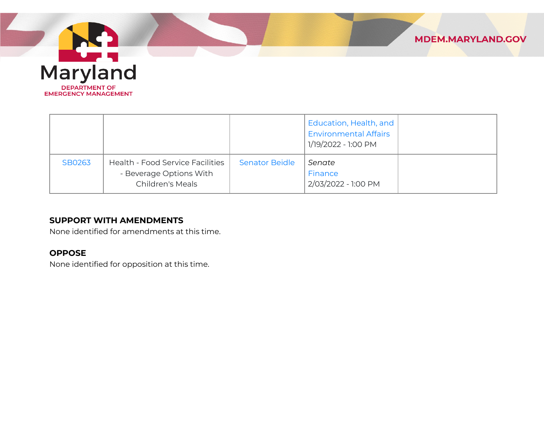

|        |                                                                                               |                       | Education, Health, and<br><b>Environmental Affairs</b> |  |
|--------|-----------------------------------------------------------------------------------------------|-----------------------|--------------------------------------------------------|--|
|        |                                                                                               |                       | 1/19/2022 - 1:00 PM                                    |  |
| SB0263 | <b>Health - Food Service Facilities</b><br>- Beverage Options With<br><b>Children's Meals</b> | <b>Senator Beidle</b> | Senate<br>Finance<br>2/03/2022 - 1:00 PM               |  |
|        |                                                                                               |                       |                                                        |  |

### **SUPPORT WITH AMENDMENTS**

None identified for amendments at this time.

## **OPPOSE**

None identified for opposition at this time.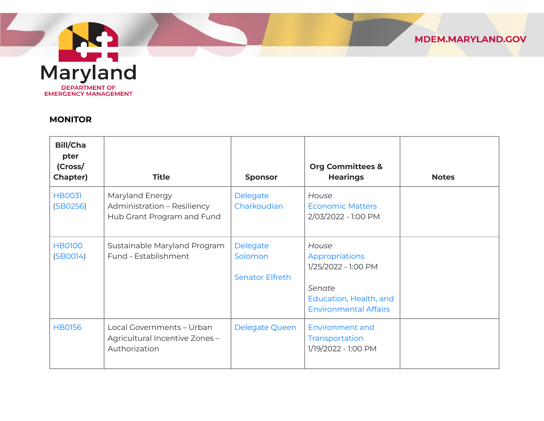

#### **MONITOR**

| <b>Bill/Cha</b><br>pter<br>(Cross/<br>Chapter) | <b>Title</b>                                                                 | <b>Sponsor</b>                                | <b>Org Committees &amp;</b><br><b>Hearings</b>                                                                     | <b>Notes</b> |
|------------------------------------------------|------------------------------------------------------------------------------|-----------------------------------------------|--------------------------------------------------------------------------------------------------------------------|--------------|
| <b>HB0031</b><br>(SB0256)                      | Maryland Energy<br>Administration - Resiliency<br>Hub Grant Program and Fund | Delegate<br>Charkoudian                       | House<br><b>Economic Matters</b><br>2/03/2022 - 1:00 PM                                                            |              |
| <b>HB0100</b><br>(SBOO14)                      | Sustainable Maryland Program<br>Fund - Establishment                         | Delegate<br>Solomon<br><b>Senator Elfreth</b> | House<br>Appropriations<br>1/25/2022 - 1:00 PM<br>Senate<br>Education, Health, and<br><b>Environmental Affairs</b> |              |
| <b>HB0156</b>                                  | Local Governments - Urban<br>Agricultural Incentive Zones -<br>Authorization | Delegate Queen                                | <b>Environment and</b><br>Transportation<br>1/19/2022 - 1:00 PM                                                    |              |

MDEM.MARYLAND.GOV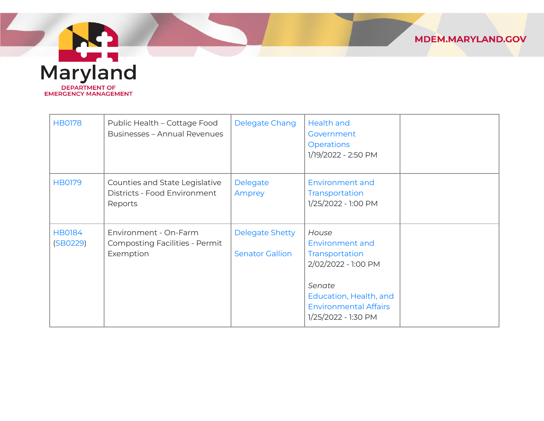

Maryland **DEPARTMENT OF EMERGENCY MANAGEMENT** 

| <b>HB0178</b>             | Public Health - Cottage Food<br><b>Businesses - Annual Revenues</b>         | Delegate Chang                                   | <b>Health and</b><br>Government<br><b>Operations</b><br>1/19/2022 - 2:50 PM                                                                                         |  |
|---------------------------|-----------------------------------------------------------------------------|--------------------------------------------------|---------------------------------------------------------------------------------------------------------------------------------------------------------------------|--|
| <b>HB0179</b>             | Counties and State Legislative<br>Districts - Food Environment<br>Reports   | Delegate<br>Amprey                               | <b>Environment and</b><br>Transportation<br>1/25/2022 - 1:00 PM                                                                                                     |  |
| <b>HB0184</b><br>(SB0229) | Environment - On-Farm<br><b>Composting Facilities - Permit</b><br>Exemption | <b>Delegate Shetty</b><br><b>Senator Gallion</b> | House<br><b>Environment and</b><br>Transportation<br>2/02/2022 - 1:00 PM<br>Senate<br>Education, Health, and<br><b>Environmental Affairs</b><br>1/25/2022 - 1:30 PM |  |